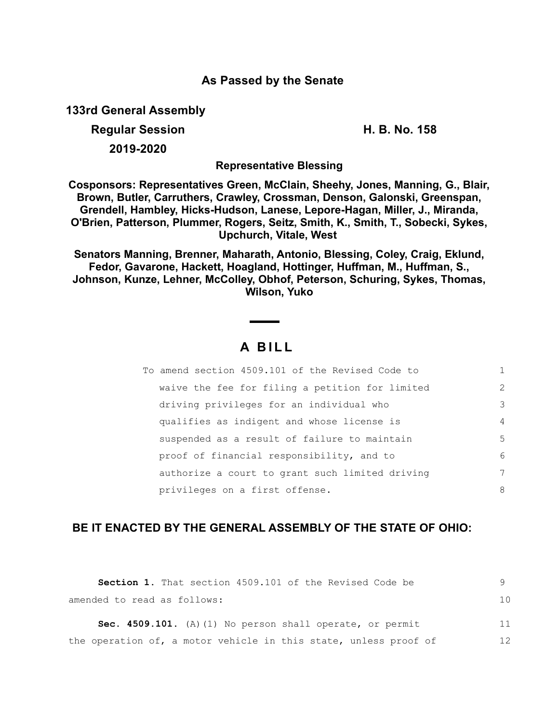## **As Passed by the Senate**

**133rd General Assembly**

**Regular Session H. B. No. 158**

**2019-2020**

**Representative Blessing**

**Cosponsors: Representatives Green, McClain, Sheehy, Jones, Manning, G., Blair, Brown, Butler, Carruthers, Crawley, Crossman, Denson, Galonski, Greenspan, Grendell, Hambley, Hicks-Hudson, Lanese, Lepore-Hagan, Miller, J., Miranda, O'Brien, Patterson, Plummer, Rogers, Seitz, Smith, K., Smith, T., Sobecki, Sykes, Upchurch, Vitale, West** 

**Senators Manning, Brenner, Maharath, Antonio, Blessing, Coley, Craig, Eklund, Fedor, Gavarone, Hackett, Hoagland, Hottinger, Huffman, M., Huffman, S., Johnson, Kunze, Lehner, McColley, Obhof, Peterson, Schuring, Sykes, Thomas, Wilson, Yuko**

# **A B I L L**

| To amend section 4509.101 of the Revised Code to |                |
|--------------------------------------------------|----------------|
| waive the fee for filing a petition for limited  | $\mathcal{L}$  |
| driving privileges for an individual who         | 3              |
| qualifies as indigent and whose license is       | $\overline{4}$ |
| suspended as a result of failure to maintain     | .5             |
| proof of financial responsibility, and to        | 6              |
| authorize a court to grant such limited driving  | 7              |
| privileges on a first offense.                   | 8              |

## **BE IT ENACTED BY THE GENERAL ASSEMBLY OF THE STATE OF OHIO:**

| <b>Section 1.</b> That section 4509.101 of the Revised Code be   |                |
|------------------------------------------------------------------|----------------|
| amended to read as follows:                                      | 1 <sub>0</sub> |
| Sec. 4509.101. (A) (1) No person shall operate, or permit        | 11             |
| the operation of, a motor vehicle in this state, unless proof of | 12             |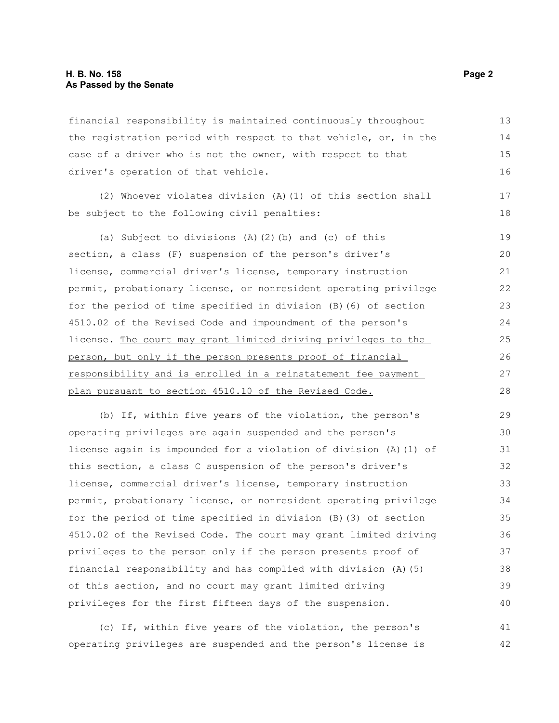financial responsibility is maintained continuously throughout the registration period with respect to that vehicle, or, in the case of a driver who is not the owner, with respect to that driver's operation of that vehicle. 13 14 15 16

(2) Whoever violates division (A)(1) of this section shall be subject to the following civil penalties:

(a) Subject to divisions (A)(2)(b) and (c) of this section, a class (F) suspension of the person's driver's license, commercial driver's license, temporary instruction permit, probationary license, or nonresident operating privilege for the period of time specified in division (B)(6) of section 4510.02 of the Revised Code and impoundment of the person's license. The court may grant limited driving privileges to the person, but only if the person presents proof of financial responsibility and is enrolled in a reinstatement fee payment plan pursuant to section 4510.10 of the Revised Code. 19 20 21 22 23 24 25 26 27 28

(b) If, within five years of the violation, the person's operating privileges are again suspended and the person's license again is impounded for a violation of division (A)(1) of this section, a class C suspension of the person's driver's license, commercial driver's license, temporary instruction permit, probationary license, or nonresident operating privilege for the period of time specified in division (B)(3) of section 4510.02 of the Revised Code. The court may grant limited driving privileges to the person only if the person presents proof of financial responsibility and has complied with division (A)(5) of this section, and no court may grant limited driving privileges for the first fifteen days of the suspension. 29 30 31 32 33 34 35 36 37 38 39 40

(c) If, within five years of the violation, the person's operating privileges are suspended and the person's license is 41 42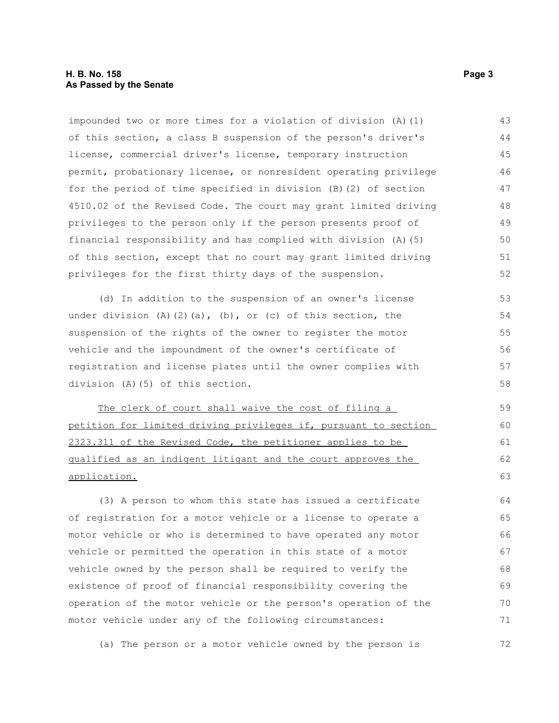impounded two or more times for a violation of division (A)(1) of this section, a class B suspension of the person's driver's license, commercial driver's license, temporary instruction permit, probationary license, or nonresident operating privilege for the period of time specified in division (B)(2) of section 4510.02 of the Revised Code. The court may grant limited driving privileges to the person only if the person presents proof of financial responsibility and has complied with division (A)(5) of this section, except that no court may grant limited driving privileges for the first thirty days of the suspension. 43 44 45 46 47 48 49 50 51 52

(d) In addition to the suspension of an owner's license under division  $(A)$   $(2)$   $(a)$ ,  $(b)$ , or  $(c)$  of this section, the suspension of the rights of the owner to register the motor vehicle and the impoundment of the owner's certificate of registration and license plates until the owner complies with division (A)(5) of this section. 53 54 55 56 57 58

The clerk of court shall waive the cost of filing a petition for limited driving privileges if, pursuant to section 2323.311 of the Revised Code, the petitioner applies to be qualified as an indigent litigant and the court approves the application.

(3) A person to whom this state has issued a certificate of registration for a motor vehicle or a license to operate a motor vehicle or who is determined to have operated any motor vehicle or permitted the operation in this state of a motor vehicle owned by the person shall be required to verify the existence of proof of financial responsibility covering the operation of the motor vehicle or the person's operation of the motor vehicle under any of the following circumstances: 64 65 66 67 68 69 70 71

(a) The person or a motor vehicle owned by the person is 72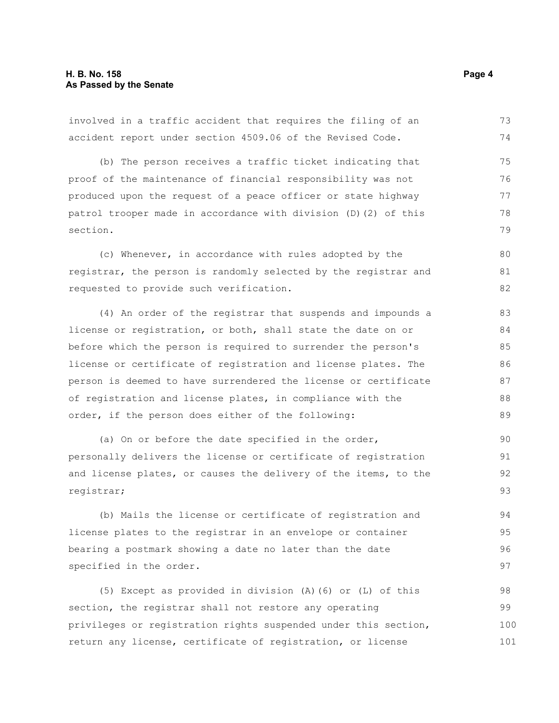involved in a traffic accident that requires the filing of an accident report under section 4509.06 of the Revised Code. (b) The person receives a traffic ticket indicating that proof of the maintenance of financial responsibility was not produced upon the request of a peace officer or state highway patrol trooper made in accordance with division (D)(2) of this section. (c) Whenever, in accordance with rules adopted by the registrar, the person is randomly selected by the registrar and requested to provide such verification. (4) An order of the registrar that suspends and impounds a license or registration, or both, shall state the date on or before which the person is required to surrender the person's license or certificate of registration and license plates. The person is deemed to have surrendered the license or certificate of registration and license plates, in compliance with the order, if the person does either of the following: (a) On or before the date specified in the order, personally delivers the license or certificate of registration and license plates, or causes the delivery of the items, to the registrar; (b) Mails the license or certificate of registration and license plates to the registrar in an envelope or container bearing a postmark showing a date no later than the date specified in the order. (5) Except as provided in division (A)(6) or (L) of this section, the registrar shall not restore any operating privileges or registration rights suspended under this section, 73 74 75 76 77 78 79 80 81 82 83 84 85 86 87 88 89  $90$ 91 92 93 94 95 96 97 98 99 100

return any license, certificate of registration, or license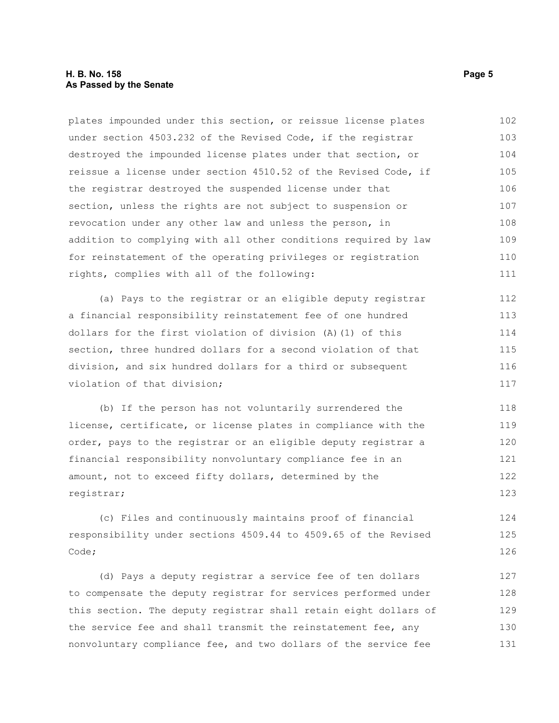### **H. B. No. 158 Page 5 As Passed by the Senate**

plates impounded under this section, or reissue license plates under section 4503.232 of the Revised Code, if the registrar destroyed the impounded license plates under that section, or reissue a license under section 4510.52 of the Revised Code, if the registrar destroyed the suspended license under that section, unless the rights are not subject to suspension or revocation under any other law and unless the person, in addition to complying with all other conditions required by law for reinstatement of the operating privileges or registration rights, complies with all of the following: 102 103 104 105 106 107 108 109 110 111

(a) Pays to the registrar or an eligible deputy registrar a financial responsibility reinstatement fee of one hundred dollars for the first violation of division (A)(1) of this section, three hundred dollars for a second violation of that division, and six hundred dollars for a third or subsequent violation of that division; 112 113 114 115 116 117

(b) If the person has not voluntarily surrendered the license, certificate, or license plates in compliance with the order, pays to the registrar or an eligible deputy registrar a financial responsibility nonvoluntary compliance fee in an amount, not to exceed fifty dollars, determined by the registrar; 118 119 120 121 122 123

(c) Files and continuously maintains proof of financial responsibility under sections 4509.44 to 4509.65 of the Revised Code;

(d) Pays a deputy registrar a service fee of ten dollars to compensate the deputy registrar for services performed under this section. The deputy registrar shall retain eight dollars of the service fee and shall transmit the reinstatement fee, any nonvoluntary compliance fee, and two dollars of the service fee 127 128 129 130 131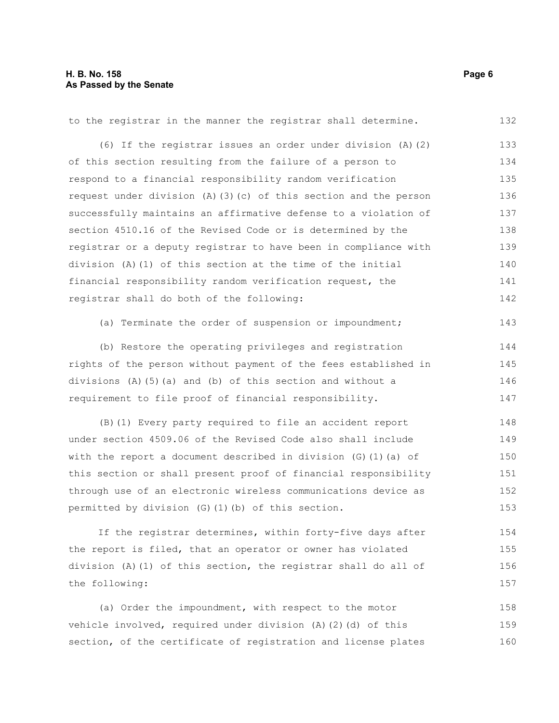to the registrar in the manner the registrar shall determine. (6) If the registrar issues an order under division (A)(2) of this section resulting from the failure of a person to respond to a financial responsibility random verification request under division (A)(3)(c) of this section and the person successfully maintains an affirmative defense to a violation of section 4510.16 of the Revised Code or is determined by the registrar or a deputy registrar to have been in compliance with division (A)(1) of this section at the time of the initial financial responsibility random verification request, the registrar shall do both of the following: (a) Terminate the order of suspension or impoundment; (b) Restore the operating privileges and registration rights of the person without payment of the fees established in divisions (A)(5)(a) and (b) of this section and without a requirement to file proof of financial responsibility. (B)(1) Every party required to file an accident report under section 4509.06 of the Revised Code also shall include with the report a document described in division (G)(1)(a) of this section or shall present proof of financial responsibility through use of an electronic wireless communications device as permitted by division (G)(1)(b) of this section. 132 133 134 135 136 137 138 139 140 141 142 143 144 145 146 147 148 149 150 151 152 153

If the registrar determines, within forty-five days after the report is filed, that an operator or owner has violated division (A)(1) of this section, the registrar shall do all of the following: 154 155 156 157

(a) Order the impoundment, with respect to the motor vehicle involved, required under division (A)(2)(d) of this section, of the certificate of registration and license plates 158 159 160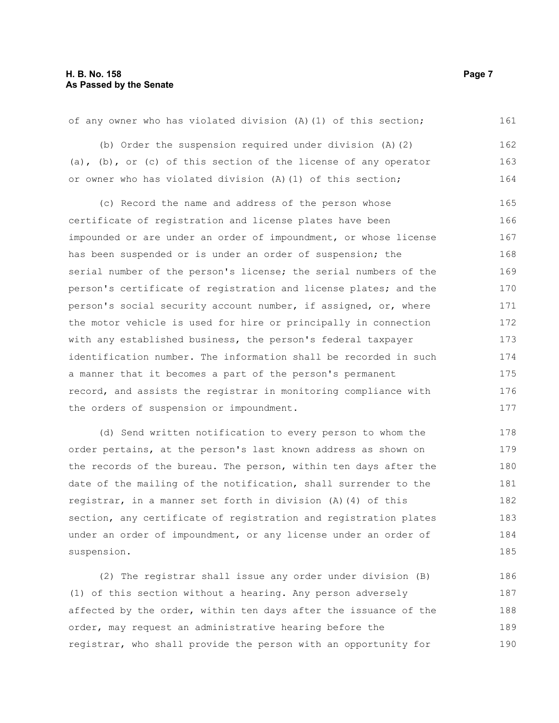of any owner who has violated division (A)(1) of this section; (b) Order the suspension required under division (A)(2) (a), (b), or (c) of this section of the license of any operator or owner who has violated division (A)(1) of this section; (c) Record the name and address of the person whose certificate of registration and license plates have been impounded or are under an order of impoundment, or whose license has been suspended or is under an order of suspension; the serial number of the person's license; the serial numbers of the person's certificate of registration and license plates; and the person's social security account number, if assigned, or, where the motor vehicle is used for hire or principally in connection with any established business, the person's federal taxpayer identification number. The information shall be recorded in such a manner that it becomes a part of the person's permanent record, and assists the registrar in monitoring compliance with the orders of suspension or impoundment. 161 162 163 164 165 166 167 168 169 170 171 172 173 174 175 176 177

(d) Send written notification to every person to whom the order pertains, at the person's last known address as shown on the records of the bureau. The person, within ten days after the date of the mailing of the notification, shall surrender to the registrar, in a manner set forth in division (A)(4) of this section, any certificate of registration and registration plates under an order of impoundment, or any license under an order of suspension. 179

(2) The registrar shall issue any order under division (B) (1) of this section without a hearing. Any person adversely affected by the order, within ten days after the issuance of the order, may request an administrative hearing before the registrar, who shall provide the person with an opportunity for 186 187 188 189 190

178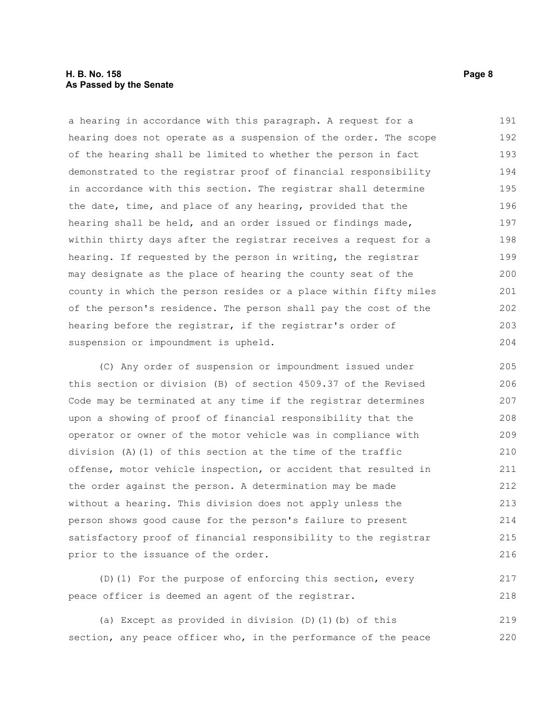#### **H. B. No. 158 Page 8 As Passed by the Senate**

a hearing in accordance with this paragraph. A request for a hearing does not operate as a suspension of the order. The scope of the hearing shall be limited to whether the person in fact demonstrated to the registrar proof of financial responsibility in accordance with this section. The registrar shall determine the date, time, and place of any hearing, provided that the hearing shall be held, and an order issued or findings made, within thirty days after the registrar receives a request for a hearing. If requested by the person in writing, the registrar may designate as the place of hearing the county seat of the county in which the person resides or a place within fifty miles of the person's residence. The person shall pay the cost of the hearing before the registrar, if the registrar's order of suspension or impoundment is upheld. 191 192 193 194 195 196 197 198 199 200 201 202 203 204

(C) Any order of suspension or impoundment issued under this section or division (B) of section 4509.37 of the Revised Code may be terminated at any time if the registrar determines upon a showing of proof of financial responsibility that the operator or owner of the motor vehicle was in compliance with division (A)(1) of this section at the time of the traffic offense, motor vehicle inspection, or accident that resulted in the order against the person. A determination may be made without a hearing. This division does not apply unless the person shows good cause for the person's failure to present satisfactory proof of financial responsibility to the registrar prior to the issuance of the order. 205 206 207 208 209 210 211 212 213 214 215 216

(D)(1) For the purpose of enforcing this section, every peace officer is deemed an agent of the registrar. 217 218

(a) Except as provided in division (D)(1)(b) of this section, any peace officer who, in the performance of the peace 219 220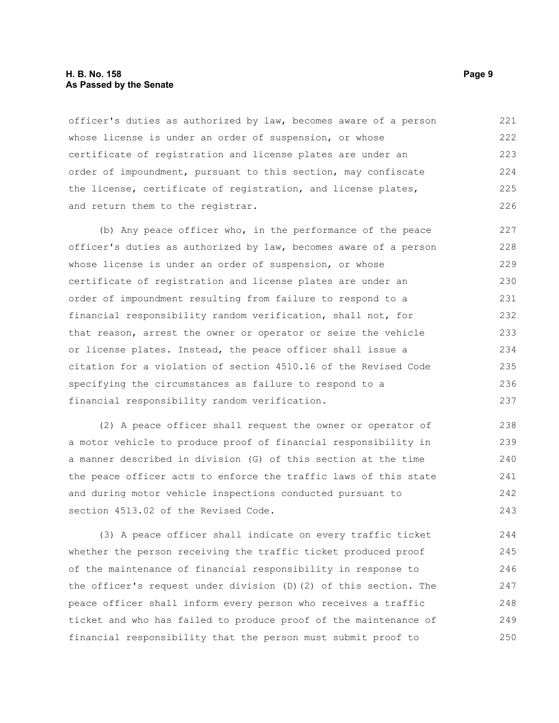#### **H. B. No. 158 Page 9 As Passed by the Senate**

officer's duties as authorized by law, becomes aware of a person whose license is under an order of suspension, or whose certificate of registration and license plates are under an order of impoundment, pursuant to this section, may confiscate the license, certificate of registration, and license plates, and return them to the registrar. 221 222 223 224 225 226

(b) Any peace officer who, in the performance of the peace officer's duties as authorized by law, becomes aware of a person whose license is under an order of suspension, or whose certificate of registration and license plates are under an order of impoundment resulting from failure to respond to a financial responsibility random verification, shall not, for that reason, arrest the owner or operator or seize the vehicle or license plates. Instead, the peace officer shall issue a citation for a violation of section 4510.16 of the Revised Code specifying the circumstances as failure to respond to a financial responsibility random verification. 227 228 229 230 231 232 233 234 235 236 237

(2) A peace officer shall request the owner or operator of a motor vehicle to produce proof of financial responsibility in a manner described in division (G) of this section at the time the peace officer acts to enforce the traffic laws of this state and during motor vehicle inspections conducted pursuant to section 4513.02 of the Revised Code. 238 239 240 241 242 243

(3) A peace officer shall indicate on every traffic ticket whether the person receiving the traffic ticket produced proof of the maintenance of financial responsibility in response to the officer's request under division (D)(2) of this section. The peace officer shall inform every person who receives a traffic ticket and who has failed to produce proof of the maintenance of financial responsibility that the person must submit proof to 244 245 246 247 248 249 250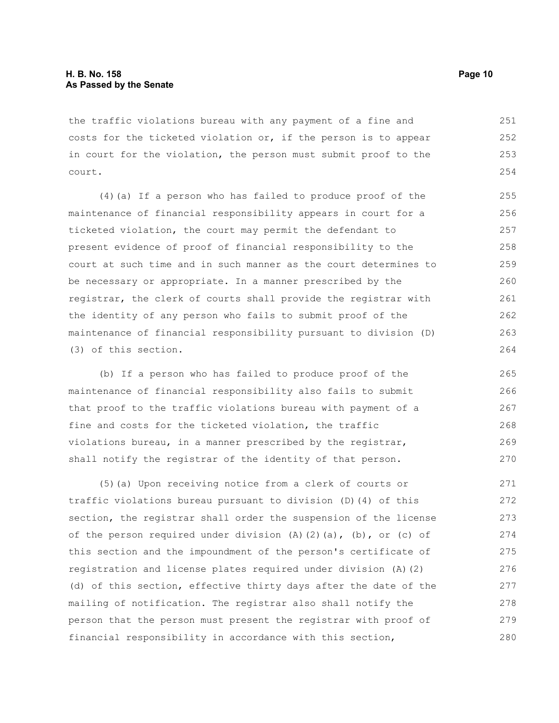the traffic violations bureau with any payment of a fine and costs for the ticketed violation or, if the person is to appear in court for the violation, the person must submit proof to the court. 251 252 253 254

(4)(a) If a person who has failed to produce proof of the maintenance of financial responsibility appears in court for a ticketed violation, the court may permit the defendant to present evidence of proof of financial responsibility to the court at such time and in such manner as the court determines to be necessary or appropriate. In a manner prescribed by the registrar, the clerk of courts shall provide the registrar with the identity of any person who fails to submit proof of the maintenance of financial responsibility pursuant to division (D) (3) of this section.

(b) If a person who has failed to produce proof of the maintenance of financial responsibility also fails to submit that proof to the traffic violations bureau with payment of a fine and costs for the ticketed violation, the traffic violations bureau, in a manner prescribed by the registrar, shall notify the registrar of the identity of that person. 265 266 267 268 269 270

(5)(a) Upon receiving notice from a clerk of courts or traffic violations bureau pursuant to division (D)(4) of this section, the registrar shall order the suspension of the license of the person required under division  $(A)$   $(2)$   $(a)$ ,  $(b)$ , or  $(c)$  of this section and the impoundment of the person's certificate of registration and license plates required under division (A)(2) (d) of this section, effective thirty days after the date of the mailing of notification. The registrar also shall notify the person that the person must present the registrar with proof of financial responsibility in accordance with this section, 271 272 273 274 275 276 277 278 279 280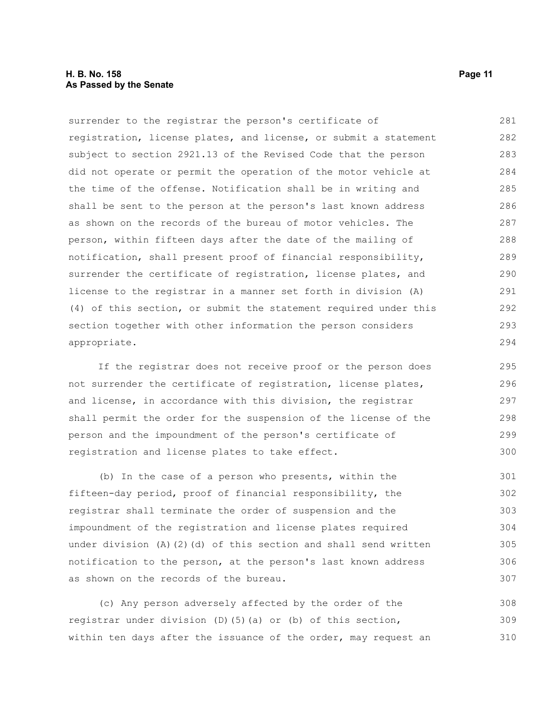### **H. B. No. 158 Page 11 As Passed by the Senate**

surrender to the registrar the person's certificate of registration, license plates, and license, or submit a statement subject to section 2921.13 of the Revised Code that the person did not operate or permit the operation of the motor vehicle at the time of the offense. Notification shall be in writing and shall be sent to the person at the person's last known address as shown on the records of the bureau of motor vehicles. The person, within fifteen days after the date of the mailing of notification, shall present proof of financial responsibility, surrender the certificate of registration, license plates, and license to the registrar in a manner set forth in division (A) (4) of this section, or submit the statement required under this section together with other information the person considers appropriate. 281 282 283 284 285 286 287 288 289 290 291 292 293 294

If the registrar does not receive proof or the person does not surrender the certificate of registration, license plates, and license, in accordance with this division, the registrar shall permit the order for the suspension of the license of the person and the impoundment of the person's certificate of registration and license plates to take effect.

(b) In the case of a person who presents, within the fifteen-day period, proof of financial responsibility, the registrar shall terminate the order of suspension and the impoundment of the registration and license plates required under division  $(A)$   $(2)$   $(d)$  of this section and shall send written notification to the person, at the person's last known address as shown on the records of the bureau. 301 302 303 304 305 306 307

(c) Any person adversely affected by the order of the registrar under division (D)(5)(a) or (b) of this section, within ten days after the issuance of the order, may request an 308 309 310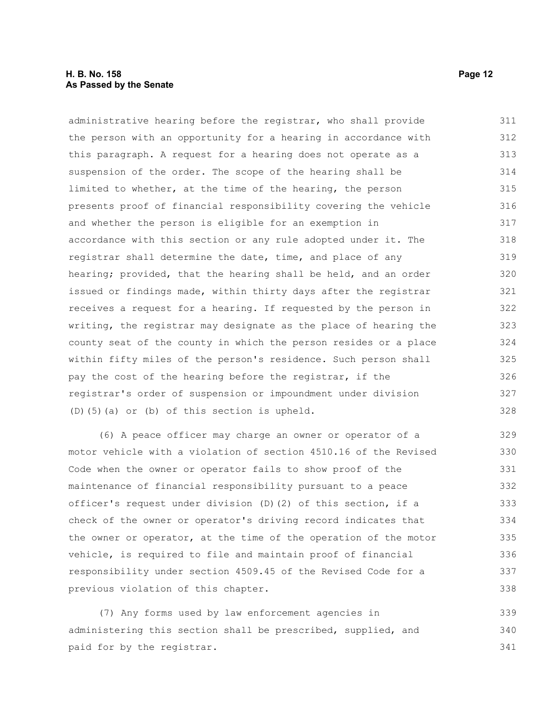#### **H. B. No. 158 Page 12 As Passed by the Senate**

administrative hearing before the registrar, who shall provide the person with an opportunity for a hearing in accordance with this paragraph. A request for a hearing does not operate as a suspension of the order. The scope of the hearing shall be limited to whether, at the time of the hearing, the person presents proof of financial responsibility covering the vehicle and whether the person is eligible for an exemption in accordance with this section or any rule adopted under it. The registrar shall determine the date, time, and place of any hearing; provided, that the hearing shall be held, and an order issued or findings made, within thirty days after the registrar receives a request for a hearing. If requested by the person in writing, the registrar may designate as the place of hearing the county seat of the county in which the person resides or a place within fifty miles of the person's residence. Such person shall pay the cost of the hearing before the registrar, if the registrar's order of suspension or impoundment under division (D)(5)(a) or (b) of this section is upheld. 311 312 313 314 315 316 317 318 319 320 321 322 323 324 325 326 327 328

(6) A peace officer may charge an owner or operator of a motor vehicle with a violation of section 4510.16 of the Revised Code when the owner or operator fails to show proof of the maintenance of financial responsibility pursuant to a peace officer's request under division (D)(2) of this section, if a check of the owner or operator's driving record indicates that the owner or operator, at the time of the operation of the motor vehicle, is required to file and maintain proof of financial responsibility under section 4509.45 of the Revised Code for a previous violation of this chapter. 329 330 331 332 333 334 335 336 337 338

(7) Any forms used by law enforcement agencies in administering this section shall be prescribed, supplied, and paid for by the registrar. 339 340 341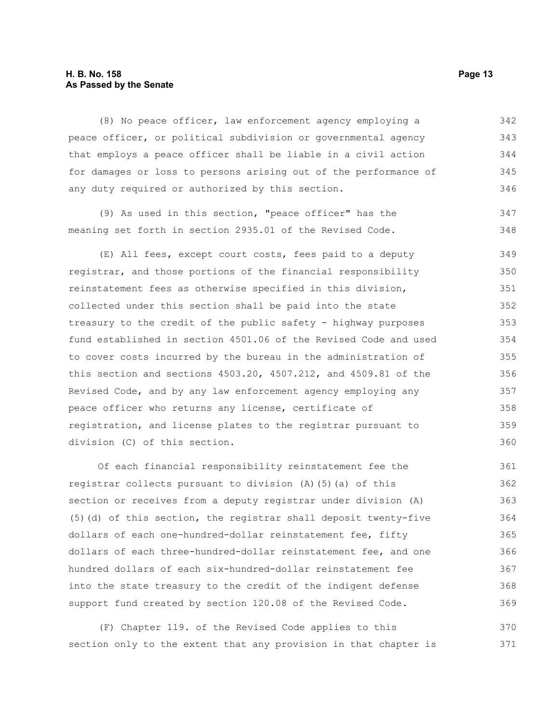#### **H. B. No. 158 Page 13 As Passed by the Senate**

(8) No peace officer, law enforcement agency employing a peace officer, or political subdivision or governmental agency that employs a peace officer shall be liable in a civil action for damages or loss to persons arising out of the performance of any duty required or authorized by this section. 342 343 344 345 346

(9) As used in this section, "peace officer" has the meaning set forth in section 2935.01 of the Revised Code. 347 348

(E) All fees, except court costs, fees paid to a deputy registrar, and those portions of the financial responsibility reinstatement fees as otherwise specified in this division, collected under this section shall be paid into the state treasury to the credit of the public safety - highway purposes fund established in section 4501.06 of the Revised Code and used to cover costs incurred by the bureau in the administration of this section and sections 4503.20, 4507.212, and 4509.81 of the Revised Code, and by any law enforcement agency employing any peace officer who returns any license, certificate of registration, and license plates to the registrar pursuant to division (C) of this section. 349 350 351 352 353 354 355 356 357 358 359 360

Of each financial responsibility reinstatement fee the registrar collects pursuant to division (A)(5)(a) of this section or receives from a deputy registrar under division (A) (5)(d) of this section, the registrar shall deposit twenty-five dollars of each one-hundred-dollar reinstatement fee, fifty dollars of each three-hundred-dollar reinstatement fee, and one hundred dollars of each six-hundred-dollar reinstatement fee into the state treasury to the credit of the indigent defense support fund created by section 120.08 of the Revised Code. 361 362 363 364 365 366 367 368 369

(F) Chapter 119. of the Revised Code applies to this section only to the extent that any provision in that chapter is 370 371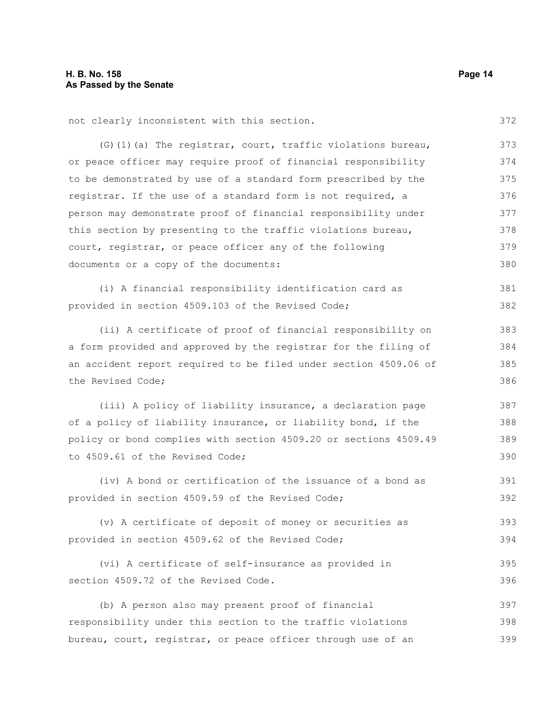not clearly inconsistent with this section. (G)(1)(a) The registrar, court, traffic violations bureau, or peace officer may require proof of financial responsibility to be demonstrated by use of a standard form prescribed by the registrar. If the use of a standard form is not required, a person may demonstrate proof of financial responsibility under this section by presenting to the traffic violations bureau, court, registrar, or peace officer any of the following documents or a copy of the documents: (i) A financial responsibility identification card as provided in section 4509.103 of the Revised Code; (ii) A certificate of proof of financial responsibility on a form provided and approved by the registrar for the filing of an accident report required to be filed under section 4509.06 of the Revised Code; (iii) A policy of liability insurance, a declaration page of a policy of liability insurance, or liability bond, if the policy or bond complies with section 4509.20 or sections 4509.49 to 4509.61 of the Revised Code; (iv) A bond or certification of the issuance of a bond as provided in section 4509.59 of the Revised Code; (v) A certificate of deposit of money or securities as provided in section 4509.62 of the Revised Code; (vi) A certificate of self-insurance as provided in section 4509.72 of the Revised Code. 372 373 374 375 376 377 378 379 380 381 382 383 384 385 386 387 388 389 390 391 392 393 394 395 396 397

(b) A person also may present proof of financial responsibility under this section to the traffic violations bureau, court, registrar, or peace officer through use of an 398 399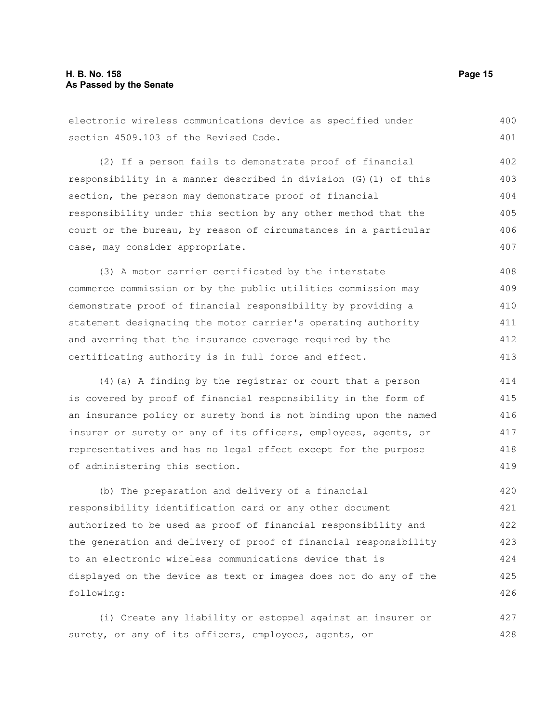#### **H. B. No. 158 Page 15 As Passed by the Senate**

electronic wireless communications device as specified under section 4509.103 of the Revised Code. 400 401

(2) If a person fails to demonstrate proof of financial responsibility in a manner described in division (G)(1) of this section, the person may demonstrate proof of financial responsibility under this section by any other method that the court or the bureau, by reason of circumstances in a particular case, may consider appropriate. 402 403 404 405 406 407

(3) A motor carrier certificated by the interstate commerce commission or by the public utilities commission may demonstrate proof of financial responsibility by providing a statement designating the motor carrier's operating authority and averring that the insurance coverage required by the certificating authority is in full force and effect. 408 409 410 411 412 413

(4)(a) A finding by the registrar or court that a person is covered by proof of financial responsibility in the form of an insurance policy or surety bond is not binding upon the named insurer or surety or any of its officers, employees, agents, or representatives and has no legal effect except for the purpose of administering this section. 414 415 416 417 418 419

(b) The preparation and delivery of a financial responsibility identification card or any other document authorized to be used as proof of financial responsibility and the generation and delivery of proof of financial responsibility to an electronic wireless communications device that is displayed on the device as text or images does not do any of the following: 420 421 422 423 424 425 426

(i) Create any liability or estoppel against an insurer or surety, or any of its officers, employees, agents, or 427 428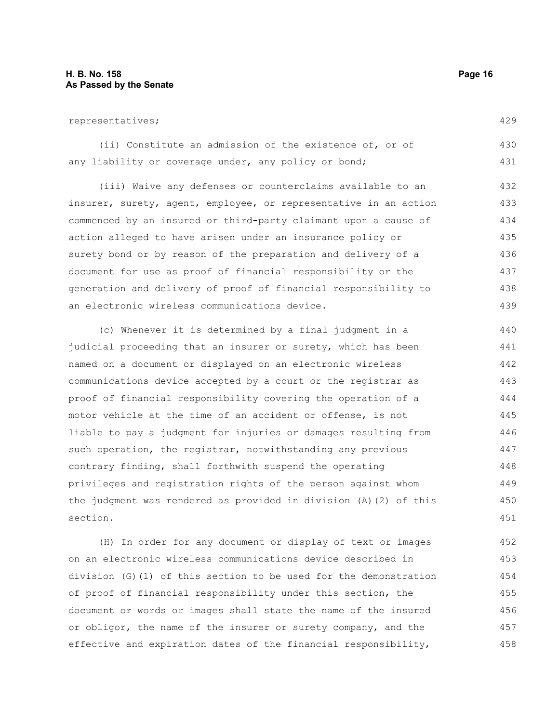#### representatives;

|  |  | (ii) Constitute an admission of the existence of, or of |  |  |  |  | 430 |
|--|--|---------------------------------------------------------|--|--|--|--|-----|
|  |  | any liability or coverage under, any policy or bond;    |  |  |  |  | 431 |

(iii) Waive any defenses or counterclaims available to an insurer, surety, agent, employee, or representative in an action commenced by an insured or third-party claimant upon a cause of action alleged to have arisen under an insurance policy or surety bond or by reason of the preparation and delivery of a document for use as proof of financial responsibility or the generation and delivery of proof of financial responsibility to an electronic wireless communications device. 432 433 434 435 436 437 438 439

(c) Whenever it is determined by a final judgment in a judicial proceeding that an insurer or surety, which has been named on a document or displayed on an electronic wireless communications device accepted by a court or the registrar as proof of financial responsibility covering the operation of a motor vehicle at the time of an accident or offense, is not liable to pay a judgment for injuries or damages resulting from such operation, the registrar, notwithstanding any previous contrary finding, shall forthwith suspend the operating privileges and registration rights of the person against whom the judgment was rendered as provided in division (A)(2) of this section. 440 441 442 443 444 445 446 447 448 449 450 451

(H) In order for any document or display of text or images on an electronic wireless communications device described in division (G)(1) of this section to be used for the demonstration of proof of financial responsibility under this section, the document or words or images shall state the name of the insured or obligor, the name of the insurer or surety company, and the effective and expiration dates of the financial responsibility, 452 453 454 455 456 457 458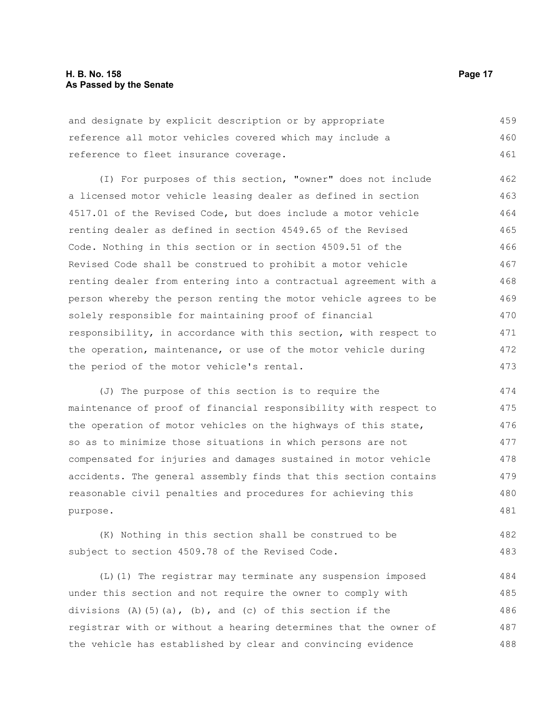and designate by explicit description or by appropriate reference all motor vehicles covered which may include a reference to fleet insurance coverage. 459 460 461

(I) For purposes of this section, "owner" does not include a licensed motor vehicle leasing dealer as defined in section 4517.01 of the Revised Code, but does include a motor vehicle renting dealer as defined in section 4549.65 of the Revised Code. Nothing in this section or in section 4509.51 of the Revised Code shall be construed to prohibit a motor vehicle renting dealer from entering into a contractual agreement with a person whereby the person renting the motor vehicle agrees to be solely responsible for maintaining proof of financial responsibility, in accordance with this section, with respect to the operation, maintenance, or use of the motor vehicle during the period of the motor vehicle's rental. 462 463 464 465 466 467 468 469 470 471 472 473

(J) The purpose of this section is to require the maintenance of proof of financial responsibility with respect to the operation of motor vehicles on the highways of this state, so as to minimize those situations in which persons are not compensated for injuries and damages sustained in motor vehicle accidents. The general assembly finds that this section contains reasonable civil penalties and procedures for achieving this purpose. 474 475 476 477 478 479 480 481

(K) Nothing in this section shall be construed to be subject to section 4509.78 of the Revised Code. 482 483

(L)(1) The registrar may terminate any suspension imposed under this section and not require the owner to comply with divisions  $(A)$  (5)(a), (b), and (c) of this section if the registrar with or without a hearing determines that the owner of the vehicle has established by clear and convincing evidence 484 485 486 487 488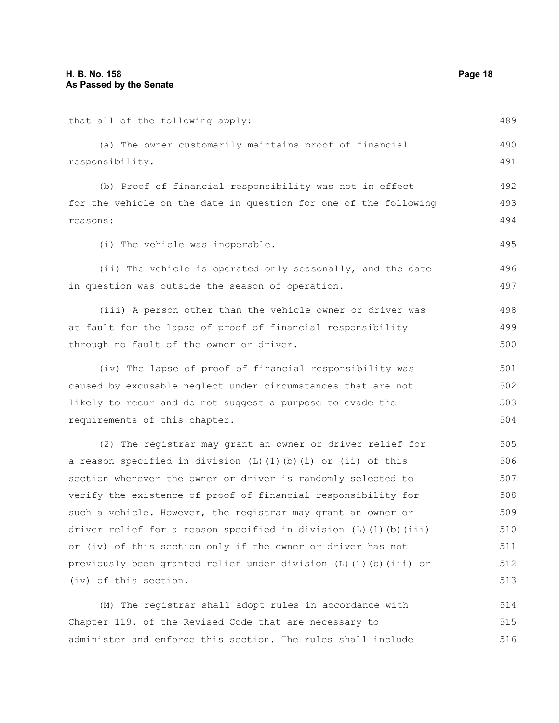that all of the following apply:

(a) The owner customarily maintains proof of financial responsibility. (b) Proof of financial responsibility was not in effect for the vehicle on the date in question for one of the following reasons: (i) The vehicle was inoperable. (ii) The vehicle is operated only seasonally, and the date in question was outside the season of operation. (iii) A person other than the vehicle owner or driver was at fault for the lapse of proof of financial responsibility through no fault of the owner or driver. (iv) The lapse of proof of financial responsibility was caused by excusable neglect under circumstances that are not likely to recur and do not suggest a purpose to evade the requirements of this chapter. (2) The registrar may grant an owner or driver relief for a reason specified in division (L)(1)(b)(i) or (ii) of this section whenever the owner or driver is randomly selected to verify the existence of proof of financial responsibility for such a vehicle. However, the registrar may grant an owner or driver relief for a reason specified in division  $(L)$   $(l)$   $(b)$   $(iii)$ or (iv) of this section only if the owner or driver has not previously been granted relief under division (L)(1)(b)(iii) or (iv) of this section. 490 491 492 493 494 495 496 497 498 499 500 501 502 503 504 505 506 507 508 509 510 511 512 513

(M) The registrar shall adopt rules in accordance with Chapter 119. of the Revised Code that are necessary to administer and enforce this section. The rules shall include 514 515 516